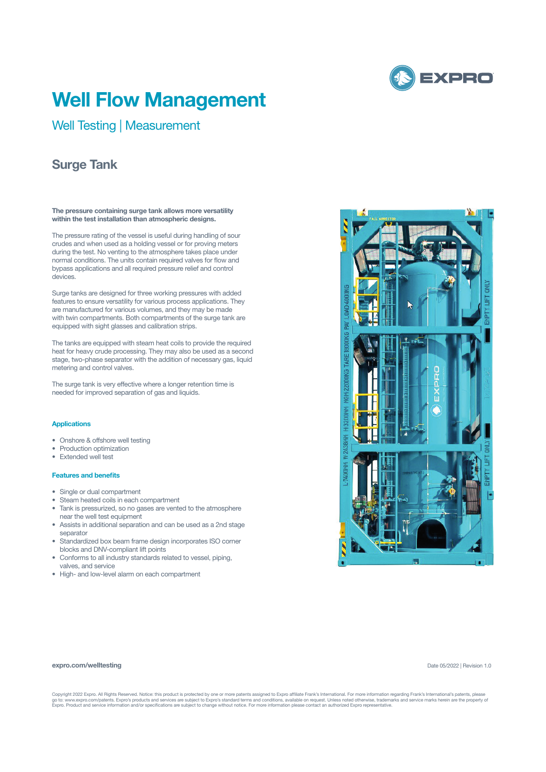

# **Well Flow Management**

Well Testing | Measurement

## **Surge Tank**

**The pressure containing surge tank allows more versatility within the test installation than atmospheric designs.** 

The pressure rating of the vessel is useful during handling of sour crudes and when used as a holding vessel or for proving meters during the test. No venting to the atmosphere takes place under normal conditions. The units contain required valves for flow and bypass applications and all required pressure relief and control devices.

Surge tanks are designed for three working pressures with added features to ensure versatility for various process applications. They are manufactured for various volumes, and they may be made with twin compartments. Both compartments of the surge tank are equipped with sight glasses and calibration strips.

The tanks are equipped with steam heat coils to provide the required heat for heavy crude processing. They may also be used as a second stage, two-phase separator with the addition of necessary gas, liquid metering and control valves.

The surge tank is very effective where a longer retention time is needed for improved separation of gas and liquids.

#### **Applications**

- Onshore & offshore well testing
- Production optimization
- Extended well test

### **Features and benefits**

**expro.com/welltesting**

- Single or dual compartment
- Steam heated coils in each compartment
- Tank is pressurized, so no gases are vented to the atmosphere
- near the well test equipment • Assists in additional separation and can be used as a 2nd stage
- separator • Standardized box beam frame design incorporates ISO corner blocks and DNV-compliant lift points
- Conforms to all industry standards related to vessel, piping, valves, and service
- High- and low-level alarm on each compartment



Copyright 2022 Expro. All Rights Reserved. Notice: this product is protected by one or more patents assigned to Expro affiliate Frank's International. For more information regarding Frank's International's patents, please<br>